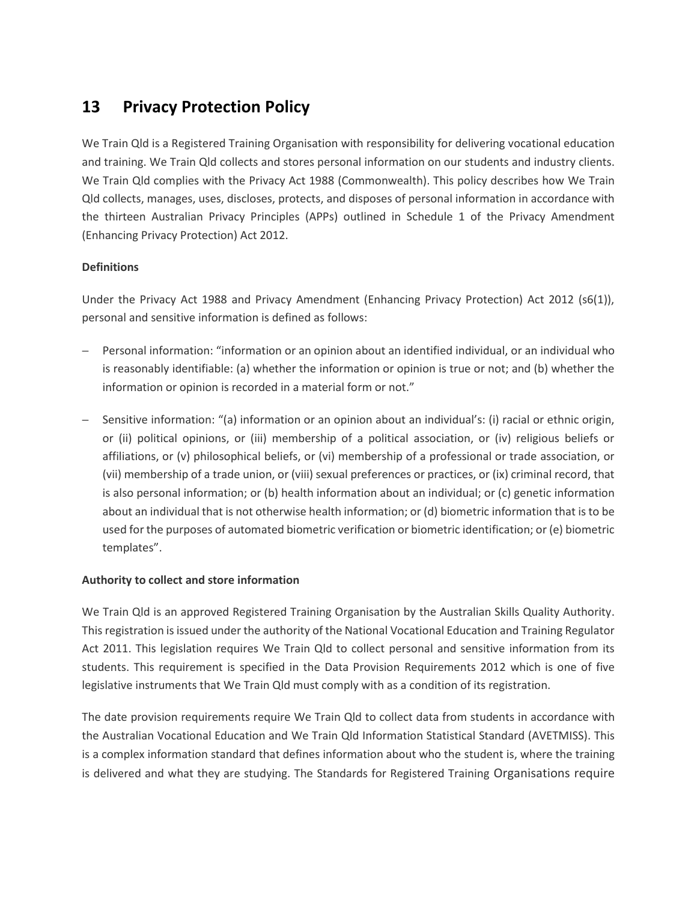# **13 Privacy Protection Policy**

We Train Qld is a Registered Training Organisation with responsibility for delivering vocational education and training. We Train Qld collects and stores personal information on our students and industry clients. We Train Qld complies with the Privacy Act 1988 (Commonwealth). This policy describes how We Train Qld collects, manages, uses, discloses, protects, and disposes of personal information in accordance with the thirteen Australian Privacy Principles (APPs) outlined in Schedule 1 of the Privacy Amendment (Enhancing Privacy Protection) Act 2012.

# **Definitions**

Under the Privacy Act 1988 and Privacy Amendment (Enhancing Privacy Protection) Act 2012 (s6(1)), personal and sensitive information is defined as follows:

- − Personal information: "information or an opinion about an identified individual, or an individual who is reasonably identifiable: (a) whether the information or opinion is true or not; and (b) whether the information or opinion is recorded in a material form or not."
- − Sensitive information: "(a) information or an opinion about an individual's: (i) racial or ethnic origin, or (ii) political opinions, or (iii) membership of a political association, or (iv) religious beliefs or affiliations, or (v) philosophical beliefs, or (vi) membership of a professional or trade association, or (vii) membership of a trade union, or (viii) sexual preferences or practices, or (ix) criminal record, that is also personal information; or (b) health information about an individual; or (c) genetic information about an individual that is not otherwise health information; or (d) biometric information that is to be used for the purposes of automated biometric verification or biometric identification; or (e) biometric templates".

# **Authority to collect and store information**

We Train Qld is an approved Registered Training Organisation by the Australian Skills Quality Authority. This registration is issued under the authority of the National Vocational Education and Training Regulator Act 2011. This legislation requires We Train Qld to collect personal and sensitive information from its students. This requirement is specified in the Data Provision Requirements 2012 which is one of five legislative instruments that We Train Qld must comply with as a condition of its registration.

The date provision requirements require We Train Qld to collect data from students in accordance with the Australian Vocational Education and We Train Qld Information Statistical Standard (AVETMISS). This is a complex information standard that defines information about who the student is, where the training is delivered and what they are studying. The Standards for Registered Training Organisations require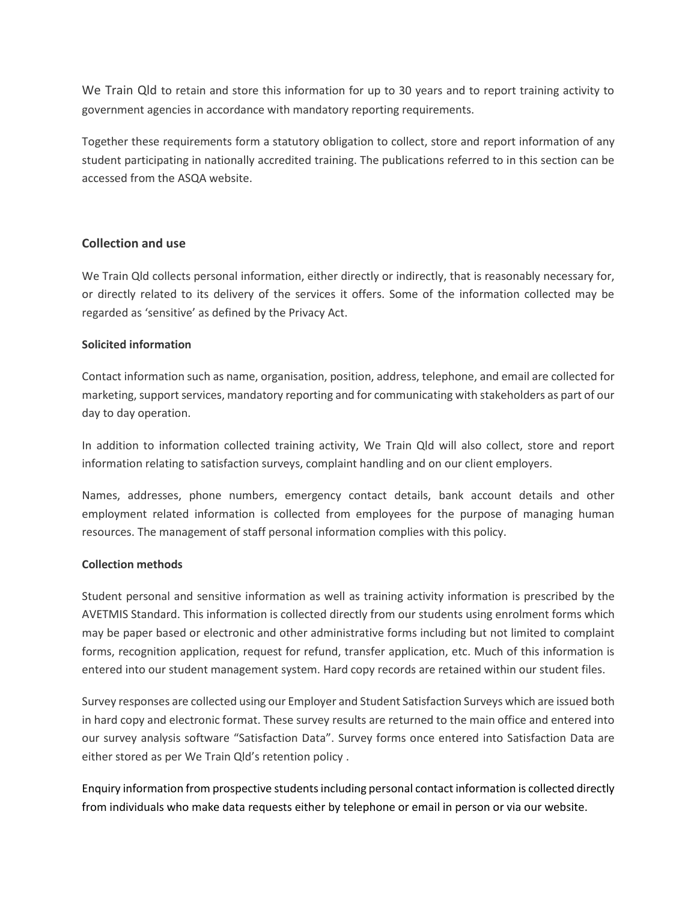We Train Qld to retain and store this information for up to 30 years and to report training activity to government agencies in accordance with mandatory reporting requirements.

Together these requirements form a statutory obligation to collect, store and report information of any student participating in nationally accredited training. The publications referred to in this section can be accessed from the ASQA website.

## **Collection and use**

We Train Qld collects personal information, either directly or indirectly, that is reasonably necessary for, or directly related to its delivery of the services it offers. Some of the information collected may be regarded as 'sensitive' as defined by the Privacy Act.

## **Solicited information**

Contact information such as name, organisation, position, address, telephone, and email are collected for marketing, support services, mandatory reporting and for communicating with stakeholders as part of our day to day operation.

In addition to information collected training activity, We Train Qld will also collect, store and report information relating to satisfaction surveys, complaint handling and on our client employers.

Names, addresses, phone numbers, emergency contact details, bank account details and other employment related information is collected from employees for the purpose of managing human resources. The management of staff personal information complies with this policy.

## **Collection methods**

Student personal and sensitive information as well as training activity information is prescribed by the AVETMIS Standard. This information is collected directly from our students using enrolment forms which may be paper based or electronic and other administrative forms including but not limited to complaint forms, recognition application, request for refund, transfer application, etc. Much of this information is entered into our student management system. Hard copy records are retained within our student files.

Survey responses are collected using our Employer and Student Satisfaction Surveys which are issued both in hard copy and electronic format. These survey results are returned to the main office and entered into our survey analysis software "Satisfaction Data". Survey forms once entered into Satisfaction Data are either stored as per We Train Qld's retention policy .

Enquiry information from prospective students including personal contact information is collected directly from individuals who make data requests either by telephone or email in person or via our website.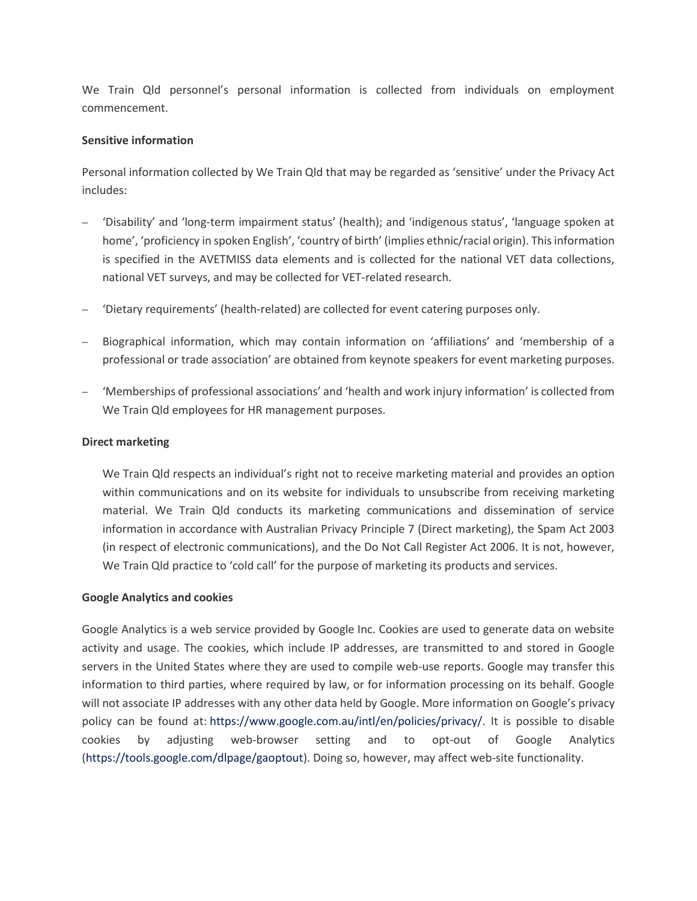We Train Qld personnel's personal information is collected from individuals on employment commencement.

#### **Sensitive information**

Personal information collected by We Train Qld that may be regarded as 'sensitive' under the Privacy Act includes:

- − 'Disability' and 'long-term impairment status' (health); and 'indigenous status', 'language spoken at home', 'proficiency in spoken English', 'country of birth' (implies ethnic/racial origin). This information is specified in the AVETMISS data elements and is collected for the national VET data collections, national VET surveys, and may be collected for VET-related research.
- − 'Dietary requirements' (health-related) are collected for event catering purposes only.
- − Biographical information, which may contain information on 'affiliations' and 'membership of a professional or trade association' are obtained from keynote speakers for event marketing purposes.
- − 'Memberships of professional associations' and 'health and work injury information' is collected from We Train Qld employees for HR management purposes.

#### **Direct marketing**

We Train Qld respects an individual's right not to receive marketing material and provides an option within communications and on its website for individuals to unsubscribe from receiving marketing material. We Train Qld conducts its marketing communications and dissemination of service information in accordance with Australian Privacy Principle 7 (Direct marketing), the Spam Act 2003 (in respect of electronic communications), and the Do Not Call Register Act 2006. It is not, however, We Train Qld practice to 'cold call' for the purpose of marketing its products and services.

## **Google Analytics and cookies**

Google Analytics is a web service provided by Google Inc. Cookies are used to generate data on website activity and usage. The cookies, which include IP addresses, are transmitted to and stored in Google servers in the United States where they are used to compile web-use reports. Google may transfer this information to third parties, where required by law, or for information processing on its behalf. Google will not associate IP addresses with any other data held by Google. More information on Google's privacy policy can be found at: [https://www.google.com.au/intl/en/policies/privacy/.](https://www.google.com.au/intl/en/policies/privacy/) It is possible to disable cookies by adjusting web-browser setting and to opt-out of Google Analytics [\(https://tools.google.com/dlpage/gaoptout\)](https://tools.google.com/dlpage/gaoptout). Doing so, however, may affect web-site functionality.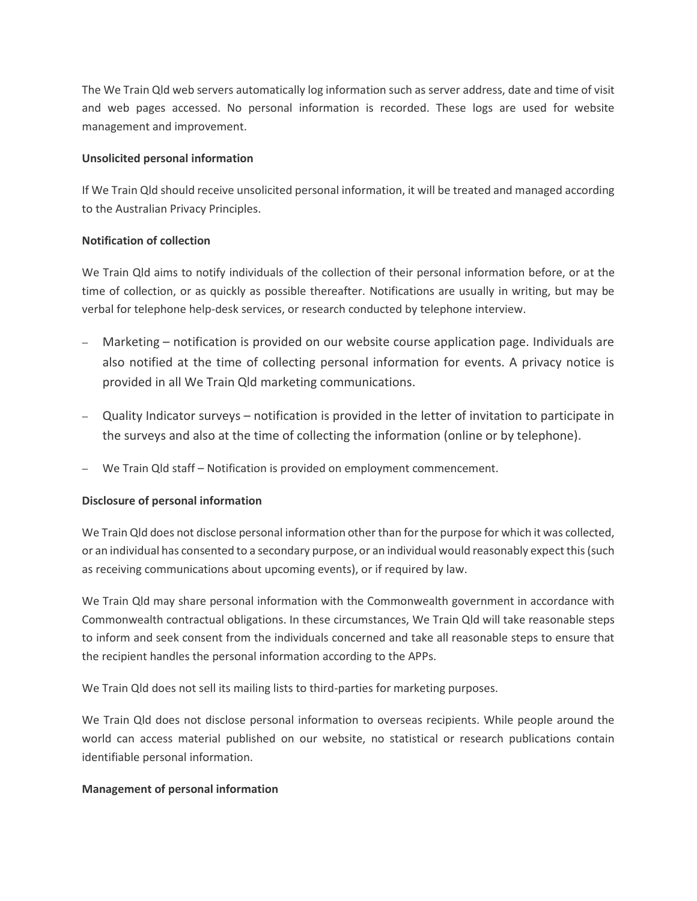The We Train Qld web servers automatically log information such as server address, date and time of visit and web pages accessed. No personal information is recorded. These logs are used for website management and improvement.

## **Unsolicited personal information**

If We Train Qld should receive unsolicited personal information, it will be treated and managed according to the Australian Privacy Principles.

# **Notification of collection**

We Train Qld aims to notify individuals of the collection of their personal information before, or at the time of collection, or as quickly as possible thereafter. Notifications are usually in writing, but may be verbal for telephone help-desk services, or research conducted by telephone interview.

- − Marketing notification is provided on our website course application page. Individuals are also notified at the time of collecting personal information for events. A privacy notice is provided in all We Train Qld marketing communications.
- − Quality Indicator surveys notification is provided in the letter of invitation to participate in the surveys and also at the time of collecting the information (online or by telephone).
- − We Train Qld staff Notification is provided on employment commencement.

# **Disclosure of personal information**

We Train Qld does not disclose personal information other than for the purpose for which it was collected, or an individual has consented to a secondary purpose, or an individual would reasonably expect this (such as receiving communications about upcoming events), or if required by law.

We Train Qld may share personal information with the Commonwealth government in accordance with Commonwealth contractual obligations. In these circumstances, We Train Qld will take reasonable steps to inform and seek consent from the individuals concerned and take all reasonable steps to ensure that the recipient handles the personal information according to the APPs.

We Train Qld does not sell its mailing lists to third-parties for marketing purposes.

We Train Qld does not disclose personal information to overseas recipients. While people around the world can access material published on our website, no statistical or research publications contain identifiable personal information.

# **Management of personal information**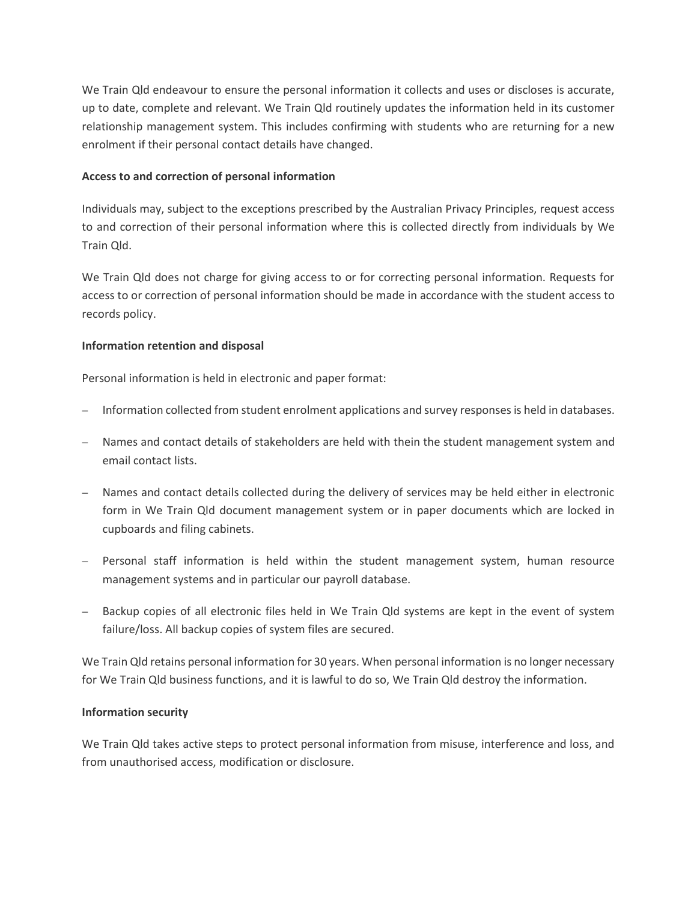We Train Qld endeavour to ensure the personal information it collects and uses or discloses is accurate, up to date, complete and relevant. We Train Qld routinely updates the information held in its customer relationship management system. This includes confirming with students who are returning for a new enrolment if their personal contact details have changed.

## **Access to and correction of personal information**

Individuals may, subject to the exceptions prescribed by the Australian Privacy Principles, request access to and correction of their personal information where this is collected directly from individuals by We Train Qld.

We Train Qld does not charge for giving access to or for correcting personal information. Requests for access to or correction of personal information should be made in accordance with the student access to records policy.

## **Information retention and disposal**

Personal information is held in electronic and paper format:

- − Information collected from student enrolment applications and survey responses is held in databases.
- − Names and contact details of stakeholders are held with thein the student management system and email contact lists.
- − Names and contact details collected during the delivery of services may be held either in electronic form in We Train Qld document management system or in paper documents which are locked in cupboards and filing cabinets.
- − Personal staff information is held within the student management system, human resource management systems and in particular our payroll database.
- Backup copies of all electronic files held in We Train Qld systems are kept in the event of system failure/loss. All backup copies of system files are secured.

We Train Qld retains personal information for 30 years. When personal information is no longer necessary for We Train Qld business functions, and it is lawful to do so, We Train Qld destroy the information.

# **Information security**

We Train Qld takes active steps to protect personal information from misuse, interference and loss, and from unauthorised access, modification or disclosure.